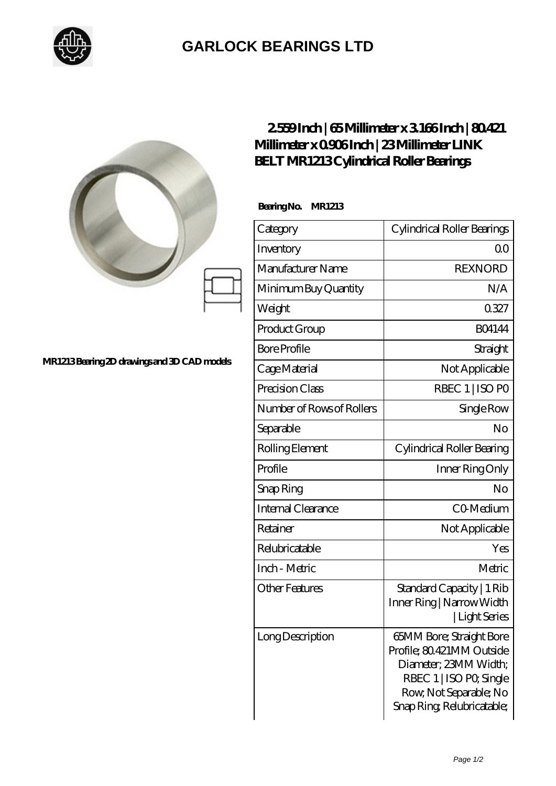

## **[GARLOCK BEARINGS LTD](https://m.letterstopriests.com)**

|                                             | 2559Inch   65Millimeter x 3166Inch   80421<br>Millimeter x 0906Inch   23Millimeter LINK<br><b>BELT MR1213Cylindrical Roller Bearings</b> |                                                                                                                                                                  |
|---------------------------------------------|------------------------------------------------------------------------------------------------------------------------------------------|------------------------------------------------------------------------------------------------------------------------------------------------------------------|
|                                             | BearingNo.<br><b>MR1213</b>                                                                                                              |                                                                                                                                                                  |
|                                             | Category                                                                                                                                 | Cylindrical Roller Bearings                                                                                                                                      |
|                                             | Inventory                                                                                                                                | 0 <sub>0</sub>                                                                                                                                                   |
|                                             | Manufacturer Name                                                                                                                        | <b>REXNORD</b>                                                                                                                                                   |
|                                             | Minimum Buy Quantity                                                                                                                     | N/A                                                                                                                                                              |
|                                             | Weight                                                                                                                                   | 0327                                                                                                                                                             |
|                                             | Product Group                                                                                                                            | <b>BO4144</b>                                                                                                                                                    |
|                                             | <b>Bore Profile</b>                                                                                                                      | Straight                                                                                                                                                         |
| MR1213Bearing 2D drawings and 3D CAD models | Cage Material                                                                                                                            | Not Applicable                                                                                                                                                   |
|                                             | Precision Class                                                                                                                          | RBEC 1   ISO PO                                                                                                                                                  |
|                                             | Number of Rows of Rollers                                                                                                                | Single Row                                                                                                                                                       |
|                                             | Separable                                                                                                                                | No                                                                                                                                                               |
|                                             | Rolling Element                                                                                                                          | Cylindrical Roller Bearing                                                                                                                                       |
|                                             | Profile                                                                                                                                  | Inner Ring Only                                                                                                                                                  |
|                                             | Snap Ring                                                                                                                                | No                                                                                                                                                               |
|                                             | Internal Clearance                                                                                                                       | CO Medium                                                                                                                                                        |
|                                             | Retainer                                                                                                                                 | Not Applicable                                                                                                                                                   |
|                                             | Relubricatable                                                                                                                           | Yes                                                                                                                                                              |
|                                             | Inch - Metric                                                                                                                            | Metric                                                                                                                                                           |
|                                             | <b>Other Features</b>                                                                                                                    | Standard Capacity   1 Rib<br>Inner Ring   Narrow Width<br>Light Series                                                                                           |
|                                             | <b>Long Description</b>                                                                                                                  | 65MM Bore; Straight Bore<br>Profile; 80.421MM Outside<br>Diameter; 23MM Width;<br>RBEC 1   ISO PO, Single<br>Row, Not Separable; No<br>Snap Ring Relubricatable; |